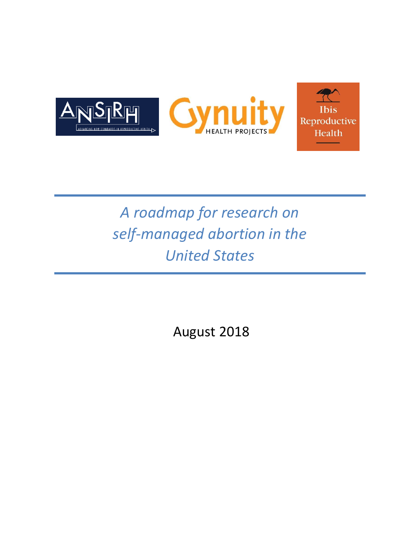

# *A roadmap for research on self-managed abortion in the United States*

August 2018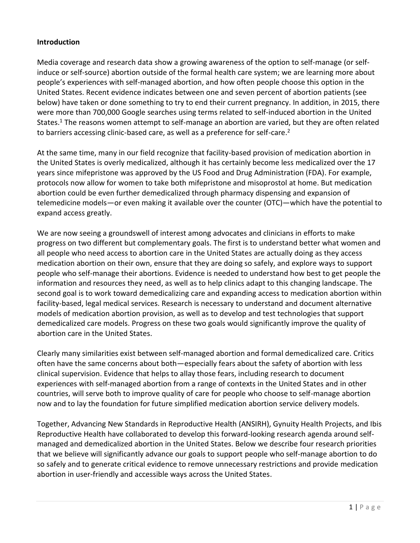### **Introduction**

Media coverage and research data show a growing awareness of the option to self-manage (or selfinduce or self-source) abortion outside of the formal health care system; we are learning more about people's experiences with self-managed abortion, and how often people choose this option in the United States. Recent evidence indicates between one and seven percent of abortion patients (see below) have taken or done something to try to end their current pregnancy. In addition, in 2015, there were more than 700,000 Google searches using terms related to self-induced abortion in the United States.<sup>1</sup> The reasons women attempt to self-manage an abortion are varied, but they are often related to barriers accessing clinic-based care, as well as a preference for self-care.<sup>2</sup>

At the same time, many in our field recognize that facility-based provision of medication abortion in the United States is overly medicalized, although it has certainly become less medicalized over the 17 years since mifepristone was approved by the US Food and Drug Administration (FDA). For example, protocols now allow for women to take both mifepristone and misoprostol at home. But medication abortion could be even further demedicalized through pharmacy dispensing and expansion of telemedicine models—or even making it available over the counter (OTC)—which have the potential to expand access greatly.

We are now seeing a groundswell of interest among advocates and clinicians in efforts to make progress on two different but complementary goals. The first is to understand better what women and all people who need access to abortion care in the United States are actually doing as they access medication abortion on their own, ensure that they are doing so safely, and explore ways to support people who self-manage their abortions. Evidence is needed to understand how best to get people the information and resources they need, as well as to help clinics adapt to this changing landscape. The second goal is to work toward demedicalizing care and expanding access to medication abortion within facility-based, legal medical services. Research is necessary to understand and document alternative models of medication abortion provision, as well as to develop and test technologies that support demedicalized care models. Progress on these two goals would significantly improve the quality of abortion care in the United States.

Clearly many similarities exist between self-managed abortion and formal demedicalized care. Critics often have the same concerns about both—especially fears about the safety of abortion with less clinical supervision. Evidence that helps to allay those fears, including research to document experiences with self-managed abortion from a range of contexts in the United States and in other countries, will serve both to improve quality of care for people who choose to self-manage abortion now and to lay the foundation for future simplified medication abortion service delivery models.

Together, Advancing New Standards in Reproductive Health (ANSIRH), Gynuity Health Projects, and Ibis Reproductive Health have collaborated to develop this forward-looking research agenda around selfmanaged and demedicalized abortion in the United States. Below we describe four research priorities that we believe will significantly advance our goals to support people who self-manage abortion to do so safely and to generate critical evidence to remove unnecessary restrictions and provide medication abortion in user-friendly and accessible ways across the United States.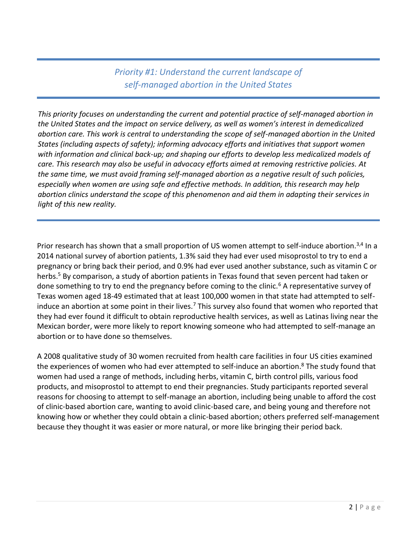*Priority #1: Understand the current landscape of self-managed abortion in the United States*

*This priority focuses on understanding the current and potential practice of self-managed abortion in the United States and the impact on service delivery, as well as women's interest in demedicalized abortion care. This work is central to understanding the scope of self-managed abortion in the United States (including aspects of safety); informing advocacy efforts and initiatives that support women with information and clinical back-up; and shaping our efforts to develop less medicalized models of care. This research may also be useful in advocacy efforts aimed at removing restrictive policies. At the same time, we must avoid framing self-managed abortion as a negative result of such policies, especially when women are using safe and effective methods. In addition, this research may help abortion clinics understand the scope of this phenomenon and aid them in adapting their services in light of this new reality.*

Prior research has shown that a small proportion of US women attempt to self-induce abortion.<sup>3,4</sup> In a 2014 national survey of abortion patients, 1.3% said they had ever used misoprostol to try to end a pregnancy or bring back their period, and 0.9% had ever used another substance, such as vitamin C or herbs.<sup>5</sup> By comparison, a study of abortion patients in Texas found that seven percent had taken or done something to try to end the pregnancy before coming to the clinic.<sup>6</sup> A representative survey of Texas women aged 18-49 estimated that at least 100,000 women in that state had attempted to selfinduce an abortion at some point in their lives.<sup>7</sup> This survey also found that women who reported that they had ever found it difficult to obtain reproductive health services, as well as Latinas living near the Mexican border, were more likely to report knowing someone who had attempted to self-manage an abortion or to have done so themselves.

A 2008 qualitative study of 30 women recruited from health care facilities in four US cities examined the experiences of women who had ever attempted to self-induce an abortion.<sup>8</sup> The study found that women had used a range of methods, including herbs, vitamin C, birth control pills, various food products, and misoprostol to attempt to end their pregnancies. Study participants reported several reasons for choosing to attempt to self-manage an abortion, including being unable to afford the cost of clinic-based abortion care, wanting to avoid clinic-based care, and being young and therefore not knowing how or whether they could obtain a clinic-based abortion; others preferred self-management because they thought it was easier or more natural, or more like bringing their period back.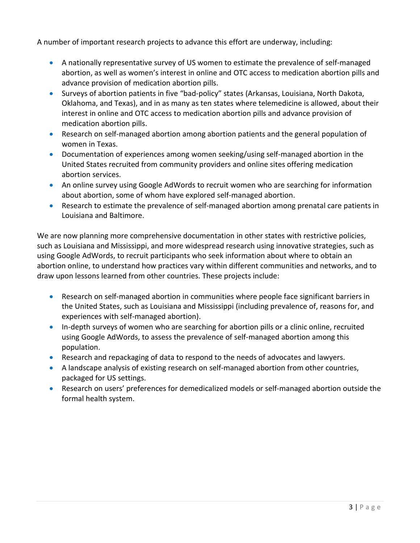A number of important research projects to advance this effort are underway, including:

- A nationally representative survey of US women to estimate the prevalence of self-managed abortion, as well as women's interest in online and OTC access to medication abortion pills and advance provision of medication abortion pills.
- Surveys of abortion patients in five "bad-policy" states (Arkansas, Louisiana, North Dakota, Oklahoma, and Texas), and in as many as ten states where telemedicine is allowed, about their interest in online and OTC access to medication abortion pills and advance provision of medication abortion pills.
- Research on self-managed abortion among abortion patients and the general population of women in Texas.
- Documentation of experiences among women seeking/using self-managed abortion in the United States recruited from community providers and online sites offering medication abortion services.
- An online survey using Google AdWords to recruit women who are searching for information about abortion, some of whom have explored self-managed abortion.
- Research to estimate the prevalence of self-managed abortion among prenatal care patients in Louisiana and Baltimore.

We are now planning more comprehensive documentation in other states with restrictive policies, such as Louisiana and Mississippi, and more widespread research using innovative strategies, such as using Google AdWords, to recruit participants who seek information about where to obtain an abortion online, to understand how practices vary within different communities and networks, and to draw upon lessons learned from other countries. These projects include:

- Research on self-managed abortion in communities where people face significant barriers in the United States, such as Louisiana and Mississippi (including prevalence of, reasons for, and experiences with self-managed abortion).
- In-depth surveys of women who are searching for abortion pills or a clinic online, recruited using Google AdWords, to assess the prevalence of self-managed abortion among this population.
- Research and repackaging of data to respond to the needs of advocates and lawyers.
- A landscape analysis of existing research on self-managed abortion from other countries, packaged for US settings.
- Research on users' preferences for demedicalized models or self-managed abortion outside the formal health system.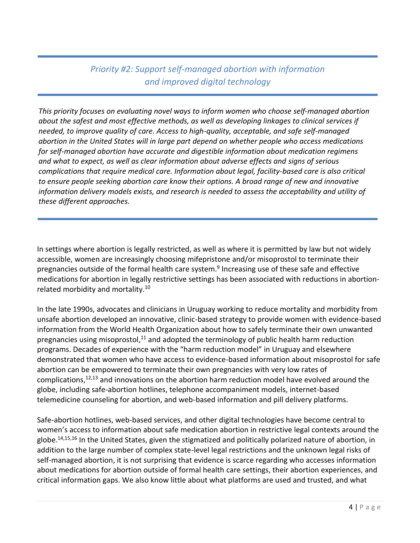# *Priority #2: Support self-managed abortion with information and improved digital technology*

*This priority focuses on evaluating novel ways to inform women who choose self-managed abortion about the safest and most effective methods, as well as developing linkages to clinical services if needed, to improve quality of care. Access to high-quality, acceptable, and safe self-managed abortion in the United States will in large part depend on whether people who access medications for self-managed abortion have accurate and digestible information about medication regimens and what to expect, as well as clear information about adverse effects and signs of serious complications that require medical care. Information about legal, facility-based care is also critical to ensure people seeking abortion care know their options. A broad range of new and innovative information delivery models exists, and research is needed to assess the acceptability and utility of these different approaches.*

In settings where abortion is legally restricted, as well as where it is permitted by law but not widely accessible, women are increasingly choosing mifepristone and/or misoprostol to terminate their pregnancies outside of the formal health care system.<sup>9</sup> Increasing use of these safe and effective medications for abortion in legally restrictive settings has been associated with reductions in abortionrelated morbidity and mortality.<sup>10</sup>

In the late 1990s, advocates and clinicians in Uruguay working to reduce mortality and morbidity from unsafe abortion developed an innovative, clinic-based strategy to provide women with evidence-based information from the World Health Organization about how to safely terminate their own unwanted pregnancies using misoprostol,<sup>11</sup> and adopted the terminology of public health harm reduction programs. Decades of experience with the "harm reduction model" in Uruguay and elsewhere demonstrated that women who have access to evidence-based information about misoprostol for safe abortion can be empowered to terminate their own pregnancies with very low rates of complications,<sup>12,13</sup> and innovations on the abortion harm reduction model have evolved around the globe, including safe-abortion hotlines, telephone accompaniment models, internet-based telemedicine counseling for abortion, and web-based information and pill delivery platforms.

Safe-abortion hotlines, web-based services, and other digital technologies have become central to women's access to information about safe medication abortion in restrictive legal contexts around the globe. 14,15,16 In the United States, given the stigmatized and politically polarized nature of abortion, in addition to the large number of complex state-level legal restrictions and the unknown legal risks of self-managed abortion, it is not surprising that evidence is scarce regarding who accesses information about medications for abortion outside of formal health care settings, their abortion experiences, and critical information gaps. We also know little about what platforms are used and trusted, and what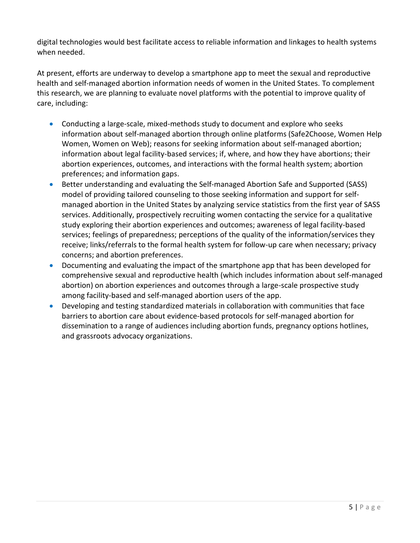digital technologies would best facilitate access to reliable information and linkages to health systems when needed.

At present, efforts are underway to develop a smartphone app to meet the sexual and reproductive health and self-managed abortion information needs of women in the United States. To complement this research, we are planning to evaluate novel platforms with the potential to improve quality of care, including:

- Conducting a large-scale, mixed-methods study to document and explore who seeks information about self-managed abortion through online platforms (Safe2Choose, Women Help Women, Women on Web); reasons for seeking information about self-managed abortion; information about legal facility-based services; if, where, and how they have abortions; their abortion experiences, outcomes, and interactions with the formal health system; abortion preferences; and information gaps.
- Better understanding and evaluating the Self-managed Abortion Safe and Supported (SASS) model of providing tailored counseling to those seeking information and support for selfmanaged abortion in the United States by analyzing service statistics from the first year of SASS services. Additionally, prospectively recruiting women contacting the service for a qualitative study exploring their abortion experiences and outcomes; awareness of legal facility-based services; feelings of preparedness; perceptions of the quality of the information/services they receive; links/referrals to the formal health system for follow-up care when necessary; privacy concerns; and abortion preferences.
- Documenting and evaluating the impact of the smartphone app that has been developed for comprehensive sexual and reproductive health (which includes information about self-managed abortion) on abortion experiences and outcomes through a large-scale prospective study among facility-based and self-managed abortion users of the app.
- Developing and testing standardized materials in collaboration with communities that face barriers to abortion care about evidence-based protocols for self-managed abortion for dissemination to a range of audiences including abortion funds, pregnancy options hotlines, and grassroots advocacy organizations.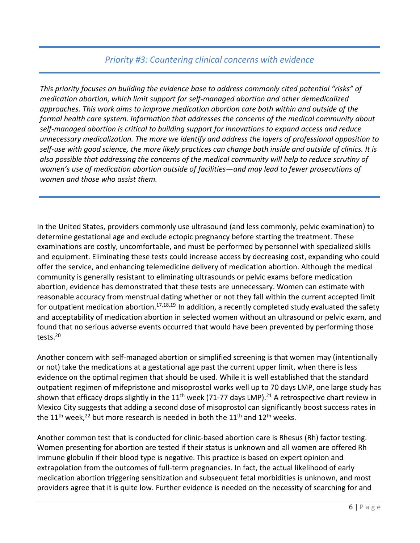## *Priority #3: Countering clinical concerns with evidence*

*This priority focuses on building the evidence base to address commonly cited potential "risks" of medication abortion, which limit support for self-managed abortion and other demedicalized approaches. This work aims to improve medication abortion care both within and outside of the formal health care system. Information that addresses the concerns of the medical community about self-managed abortion is critical to building support for innovations to expand access and reduce unnecessary medicalization. The more we identify and address the layers of professional opposition to self-use with good science, the more likely practices can change both inside and outside of clinics. It is also possible that addressing the concerns of the medical community will help to reduce scrutiny of women's use of medication abortion outside of facilities—and may lead to fewer prosecutions of women and those who assist them.* 

In the United States, providers commonly use ultrasound (and less commonly, pelvic examination) to determine gestational age and exclude ectopic pregnancy before starting the treatment. These examinations are costly, uncomfortable, and must be performed by personnel with specialized skills and equipment. Eliminating these tests could increase access by decreasing cost, expanding who could offer the service, and enhancing telemedicine delivery of medication abortion. Although the medical community is generally resistant to eliminating ultrasounds or pelvic exams before medication abortion, evidence has demonstrated that these tests are unnecessary. Women can estimate with reasonable accuracy from menstrual dating whether or not they fall within the current accepted limit for outpatient medication abortion.<sup>17,18,19</sup> In addition, a recently completed study evaluated the safety and acceptability of medication abortion in selected women without an ultrasound or pelvic exam, and found that no serious adverse events occurred that would have been prevented by performing those tests.<sup>20</sup>

Another concern with self-managed abortion or simplified screening is that women may (intentionally or not) take the medications at a gestational age past the current upper limit, when there is less evidence on the optimal regimen that should be used. While it is well established that the standard outpatient regimen of mifepristone and misoprostol works well up to 70 days LMP, one large study has shown that efficacy drops slightly in the 11<sup>th</sup> week (71-77 days LMP).<sup>21</sup> A retrospective chart review in Mexico City suggests that adding a second dose of misoprostol can significantly boost success rates in the 11<sup>th</sup> week,<sup>22</sup> but more research is needed in both the 11<sup>th</sup> and 12<sup>th</sup> weeks.

Another common test that is conducted for clinic-based abortion care is Rhesus (Rh) factor testing. Women presenting for abortion are tested if their status is unknown and all women are offered Rh immune globulin if their blood type is negative. This practice is based on expert opinion and extrapolation from the outcomes of full-term pregnancies. In fact, the actual likelihood of early medication abortion triggering sensitization and subsequent fetal morbidities is unknown, and most providers agree that it is quite low. Further evidence is needed on the necessity of searching for and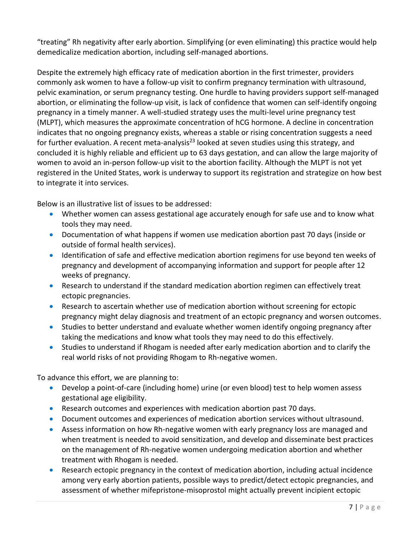"treating" Rh negativity after early abortion. Simplifying (or even eliminating) this practice would help demedicalize medication abortion, including self-managed abortions.

Despite the extremely high efficacy rate of medication abortion in the first trimester, providers commonly ask women to have a follow-up visit to confirm pregnancy termination with ultrasound, pelvic examination, or serum pregnancy testing. One hurdle to having providers support self-managed abortion, or eliminating the follow-up visit, is lack of confidence that women can self-identify ongoing pregnancy in a timely manner. A well-studied strategy uses the multi-level urine pregnancy test (MLPT), which measures the approximate concentration of hCG hormone. A decline in concentration indicates that no ongoing pregnancy exists, whereas a stable or rising concentration suggests a need for further evaluation. A recent meta-analysis<sup>23</sup> looked at seven studies using this strategy, and concluded it is highly reliable and efficient up to 63 days gestation, and can allow the large majority of women to avoid an in-person follow-up visit to the abortion facility. Although the MLPT is not yet registered in the United States, work is underway to support its registration and strategize on how best to integrate it into services.

Below is an illustrative list of issues to be addressed:

- Whether women can assess gestational age accurately enough for safe use and to know what tools they may need.
- Documentation of what happens if women use medication abortion past 70 days (inside or outside of formal health services).
- Identification of safe and effective medication abortion regimens for use beyond ten weeks of pregnancy and development of accompanying information and support for people after 12 weeks of pregnancy.
- Research to understand if the standard medication abortion regimen can effectively treat ectopic pregnancies.
- Research to ascertain whether use of medication abortion without screening for ectopic pregnancy might delay diagnosis and treatment of an ectopic pregnancy and worsen outcomes.
- Studies to better understand and evaluate whether women identify ongoing pregnancy after taking the medications and know what tools they may need to do this effectively.
- Studies to understand if Rhogam is needed after early medication abortion and to clarify the real world risks of not providing Rhogam to Rh-negative women.

To advance this effort, we are planning to:

- Develop a point-of-care (including home) urine (or even blood) test to help women assess gestational age eligibility.
- Research outcomes and experiences with medication abortion past 70 days.
- Document outcomes and experiences of medication abortion services without ultrasound.
- Assess information on how Rh-negative women with early pregnancy loss are managed and when treatment is needed to avoid sensitization, and develop and disseminate best practices on the management of Rh-negative women undergoing medication abortion and whether treatment with Rhogam is needed.
- Research ectopic pregnancy in the context of medication abortion, including actual incidence among very early abortion patients, possible ways to predict/detect ectopic pregnancies, and assessment of whether mifepristone-misoprostol might actually prevent incipient ectopic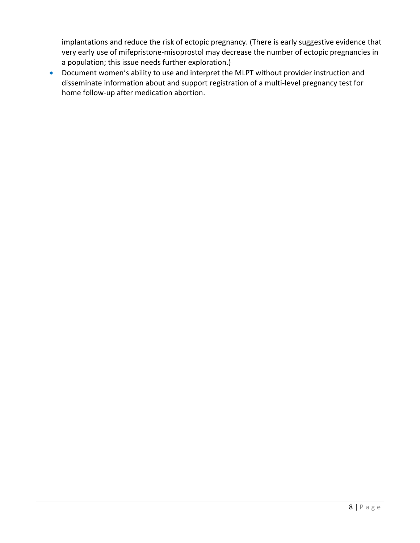implantations and reduce the risk of ectopic pregnancy. (There is early suggestive evidence that very early use of mifepristone-misoprostol may decrease the number of ectopic pregnancies in a population; this issue needs further exploration.)

 Document women's ability to use and interpret the MLPT without provider instruction and disseminate information about and support registration of a multi-level pregnancy test for home follow-up after medication abortion.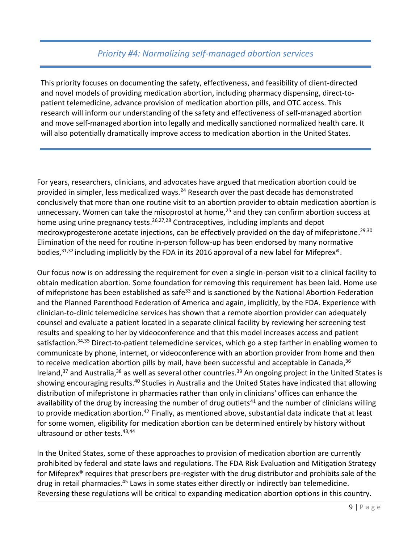## *Priority #4: Normalizing self-managed abortion services*

This priority focuses on documenting the safety, effectiveness, and feasibility of client-directed and novel models of providing medication abortion, including pharmacy dispensing, direct-topatient telemedicine, advance provision of medication abortion pills, and OTC access. This research will inform our understanding of the safety and effectiveness of self-managed abortion and move self-managed abortion into legally and medically sanctioned normalized health care. It will also potentially dramatically improve access to medication abortion in the United States.

For years, researchers, clinicians, and advocates have argued that medication abortion could be provided in simpler, less medicalized ways.<sup>24</sup> Research over the past decade has demonstrated conclusively that more than one routine visit to an abortion provider to obtain medication abortion is unnecessary. Women can take the misoprostol at home, $^{25}$  and they can confirm abortion success at home using urine pregnancy tests.<sup>26,27,28</sup> Contraceptives, including implants and depot medroxyprogesterone acetate injections, can be effectively provided on the day of mifepristone. 29,30 Elimination of the need for routine in-person follow-up has been endorsed by many normative bodies,<sup>31,32</sup> including implicitly by the FDA in its 2016 approval of a new label for Mifeprex<sup>®</sup>.

Our focus now is on addressing the requirement for even a single in-person visit to a clinical facility to obtain medication abortion. Some foundation for removing this requirement has been laid. Home use of mifepristone has been established as safe<sup>33</sup> and is sanctioned by the National Abortion Federation and the Planned Parenthood Federation of America and again, implicitly, by the FDA. Experience with clinician-to-clinic telemedicine services has shown that a remote abortion provider can adequately counsel and evaluate a patient located in a separate clinical facility by reviewing her screening test results and speaking to her by videoconference and that this model increases access and patient satisfaction.<sup>34,35</sup> Direct-to-patient telemedicine services, which go a step farther in enabling women to communicate by phone, internet, or videoconference with an abortion provider from home and then to receive medication abortion pills by mail, have been successful and acceptable in Canada,<sup>36</sup> Ireland,<sup>37</sup> and Australia,<sup>38</sup> as well as several other countries.<sup>39</sup> An ongoing project in the United States is showing encouraging results.<sup>40</sup> Studies in Australia and the United States have indicated that allowing distribution of mifepristone in pharmacies rather than only in clinicians' offices can enhance the availability of the drug by increasing the number of drug outlets<sup>41</sup> and the number of clinicians willing to provide medication abortion.<sup>42</sup> Finally, as mentioned above, substantial data indicate that at least for some women, eligibility for medication abortion can be determined entirely by history without ultrasound or other tests. 43,44

In the United States, some of these approaches to provision of medication abortion are currently prohibited by federal and state laws and regulations. The FDA Risk Evaluation and Mitigation Strategy for Mifeprex® requires that prescribers pre-register with the drug distributor and prohibits sale of the drug in retail pharmacies.<sup>45</sup> Laws in some states either directly or indirectly ban telemedicine. Reversing these regulations will be critical to expanding medication abortion options in this country.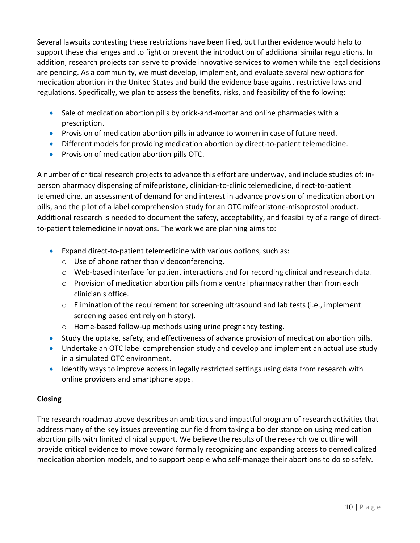Several lawsuits contesting these restrictions have been filed, but further evidence would help to support these challenges and to fight or prevent the introduction of additional similar regulations. In addition, research projects can serve to provide innovative services to women while the legal decisions are pending. As a community, we must develop, implement, and evaluate several new options for medication abortion in the United States and build the evidence base against restrictive laws and regulations. Specifically, we plan to assess the benefits, risks, and feasibility of the following:

- Sale of medication abortion pills by brick-and-mortar and online pharmacies with a prescription.
- **•** Provision of medication abortion pills in advance to women in case of future need.
- Different models for providing medication abortion by direct-to-patient telemedicine.
- **•** Provision of medication abortion pills OTC.

A number of critical research projects to advance this effort are underway, and include studies of: inperson pharmacy dispensing of mifepristone, clinician-to-clinic telemedicine, direct-to-patient telemedicine, an assessment of demand for and interest in advance provision of medication abortion pills, and the pilot of a label comprehension study for an OTC mifepristone-misoprostol product. Additional research is needed to document the safety, acceptability, and feasibility of a range of directto-patient telemedicine innovations. The work we are planning aims to:

- Expand direct-to-patient telemedicine with various options, such as:
	- o Use of phone rather than videoconferencing.
	- $\circ$  Web-based interface for patient interactions and for recording clinical and research data.
	- $\circ$  Provision of medication abortion pills from a central pharmacy rather than from each clinician's office.
	- o Elimination of the requirement for screening ultrasound and lab tests (i.e., implement screening based entirely on history).
	- o Home-based follow-up methods using urine pregnancy testing.
- Study the uptake, safety, and effectiveness of advance provision of medication abortion pills.
- Undertake an OTC label comprehension study and develop and implement an actual use study in a simulated OTC environment.
- Identify ways to improve access in legally restricted settings using data from research with online providers and smartphone apps.

## **Closing**

The research roadmap above describes an ambitious and impactful program of research activities that address many of the key issues preventing our field from taking a bolder stance on using medication abortion pills with limited clinical support. We believe the results of the research we outline will provide critical evidence to move toward formally recognizing and expanding access to demedicalized medication abortion models, and to support people who self-manage their abortions to do so safely.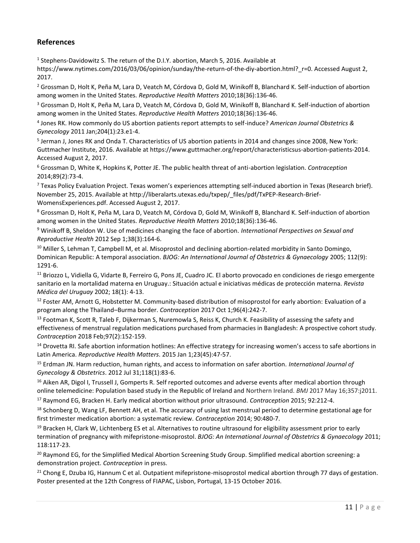#### **References**

<sup>1</sup> Stephens-Davidowitz S. The return of the D.I.Y. abortion, March 5, 2016. Available at

https://www.nytimes.com/2016/03/06/opinion/sunday/the-return-of-the-diy-abortion.html? r=0. Accessed August 2, 2017.

<sup>2</sup> Grossman D, Holt K, Peña M, Lara D, Veatch M, Córdova D, Gold M, Winikoff B, Blanchard K. Self-induction of abortion among women in the United States. *Reproductive Health Matters* 2010;18(36):136-46.

<sup>3</sup> Grossman D, Holt K, Peña M, Lara D, Veatch M, Córdova D, Gold M, Winikoff B, Blanchard K. Self-induction of abortion among women in the United States. *Reproductive Health Matters* 2010;18(36):136-46.

4 Jones RK. How commonly do US abortion patients report attempts to self-induce? *American Journal Obstetrics & Gynecology* 2011 Jan;204(1):23.e1-4.

<sup>5</sup> Jerman J, Jones RK and Onda T. Characteristics of US abortion patients in 2014 and changes since 2008, New York: Guttmacher Institute, 2016. Available at https://www.guttmacher.org/report/characteristicsus-abortion-patients-2014. Accessed August 2, 2017.

<sup>6</sup> Grossman D, White K, Hopkins K, Potter JE. The public health threat of anti-abortion legislation. *Contraception* 2014;89(2):73-4.

 $7$  Texas Policy Evaluation Project. Texas women's experiences attempting self-induced abortion in Texas (Research brief). November 25, 2015. Available at http://liberalarts.utexas.edu/txpep/\_files/pdf/TxPEP-Research-Brief-WomensExperiences.pdf. Accessed August 2, 2017.

<sup>8</sup> Grossman D, Holt K, Peña M, Lara D, Veatch M, Córdova D, Gold M, Winikoff B, Blanchard K. Self-induction of abortion among women in the United States. *Reproductive Health Matters* 2010;18(36):136-46.

<sup>9</sup> Winikoff B, Sheldon W. Use of medicines changing the face of abortion. *International Perspectives on Sexual and Reproductive Health* 2012 Sep 1;38(3):164-6.

10 Miller S, Lehman T, Campbell M, et al. Misoprostol and declining abortion-related morbidity in Santo Domingo, Dominican Republic: A temporal association. *BJOG: An International Journal of Obstetrics & Gynaecology* 2005; 112(9): 1291-6.

<sup>11</sup> Briozzo L, Vidiella G, Vidarte B, Ferreiro G, Pons JE, Cuadro JC. El aborto provocado en condiciones de riesgo emergente sanitario en la mortalidad materna en Uruguay.: Situación actual e iniciativas médicas de protección materna. *Revista Médica del Uruguay* 2002; 18(1): 4-13.

 $12$  Foster AM, Arnott G, Hobstetter M. Community-based distribution of misoprostol for early abortion: Evaluation of a program along the Thailand–Burma border. *Contraception* 2017 Oct 1;96(4):242-7.

<sup>13</sup> Footman K, Scott R, Taleb F, Dijkerman S, Nuremowla S, Reiss K, Church K. Feasibility of assessing the safety and effectiveness of menstrual regulation medications purchased from pharmacies in Bangladesh: A prospective cohort study. *Contraception* 2018 Feb;97(2):152-159.

<sup>14</sup> Drovetta RI. Safe abortion information hotlines: An effective strategy for increasing women's access to safe abortions in Latin America. *Reproductive Health Matters*. 2015 Jan 1;23(45):47-57.

<sup>15</sup> Erdman JN. Harm reduction, human rights, and access to information on safer abortion. *International Journal of Gynecology & Obstetrics*. 2012 Jul 31;118(1):83-6.

<sup>16</sup> Aiken AR, Digol I, Trussell J, Gomperts R. Self reported outcomes and adverse events after medical abortion through online telemedicine: Population based study in the Republic of Ireland and Northern Ireland. *BMJ* 2017 May 16;357:j2011.

<sup>17</sup> Raymond EG, Bracken H. Early medical abortion without prior ultrasound. *Contraception* 2015; 92:212-4.

 $18$  Schonberg D, Wang LF, Bennett AH, et al. The accuracy of using last menstrual period to determine gestational age for first trimester medication abortion: a systematic review. *Contraception* 2014; 90:480-7.

 $19$  Bracken H, Clark W, Lichtenberg ES et al. Alternatives to routine ultrasound for eligibility assessment prior to early termination of pregnancy with mifepristone-misoprostol. *BJOG: An International Journal of Obstetrics & Gynaecology* 2011; 118:117-23.

<sup>20</sup> Raymond EG, for the Simplified Medical Abortion Screening Study Group. Simplified medical abortion screening: a demonstration project. *Contraception* in press.

 $21$  Chong E, Dzuba IG, Hannum C et al. Outpatient mifepristone-misoprostol medical abortion through 77 days of gestation. Poster presented at the 12th Congress of FIAPAC, Lisbon, Portugal, 13-15 October 2016.